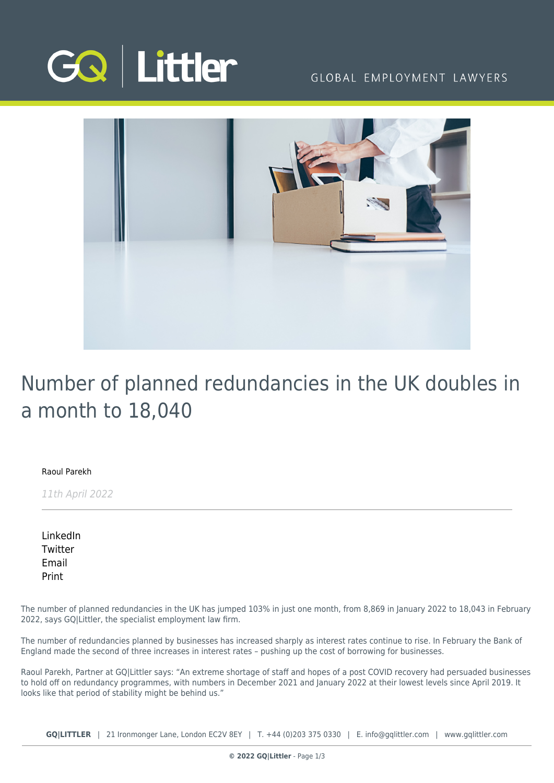

## GLOBAL EMPLOYMENT LAWYERS



# Number of planned redundancies in the UK doubles in a month to 18,040

### [Raoul Parekh](https://www.gqlittler.com/about-us/the-team/raoul-parekh)

11th April 2022

[LinkedIn](https://www.linkedin.com/shareArticle?mini=true&url=https%3A%2F%2Fwww.gqlittler.com%2Fresources%2Fnews-and-views%2Fnumber-of-planned-redundancies-in-the-uk-doubles-in-a-month-to-18-040.htm%3Funlock%3Dtrue&title=Number+of+planned+redundancies+in+the+UK+doubles+in+a+month+to+18%2C040&summary=The+number+of+planned+redundancies+in+the+UK+has+jumped+103%25+in+just+one+month.&source=GQ+%7C+Littler) **[Twitter](https://twitter.com/share?text=Number+of+planned+redundancies+in+the+UK+doubles+in+a+month+to+18%2C040&url=https%3A%2F%2Fwww.gqlittler.com%2Fresources%2Fnews-and-views%2Fnumber-of-planned-redundancies-in-the-uk-doubles-in-a-month-to-18-040.htm&hashtags=)** [Email](mailto:?subject=Number of planned redundancies in the UK doubles in a month to 18,040&body=I) [Print](https://www.bg-pdf.co.uk/_GQ/page.php?M=6148523063484d364c793933643363755a33467361585230624756794c6d4e76625339795a584e7664584a6a5a584d76626d563363793168626d5174646d6c6c64334d76626e5674596d56794c57396d4c584273595735755a575174636d566b6457356b5957356a6157567a4c576c754c58526f5a5331316179316b623356696247567a4c576c754c5745746257397564476774644738744d5467744d4451774c6d683062534e414930353162574a6c636942765a69427762474675626d566b49484a6c5a4856755a47467559326c6c637942706269423061475567565573675a473931596d786c637942706269426849473176626e526f49485276494445344c4441304d434e414932353162574a6c636931765a69317762474675626d566b4c584a6c5a4856755a47467559326c6c637931706269313061475574645773745a473931596d786c63793170626931684c573176626e526f4c5852764c5445344c5441304d413d3d)

The number of planned redundancies in the UK has jumped 103% in just one month, from 8,869 in January 2022 to 18,043 in February 2022, says GQ|Littler, the specialist employment law firm.

The number of redundancies planned by businesses has increased sharply as interest rates continue to rise. In February the Bank of England made the second of three increases in interest rates – pushing up the cost of borrowing for businesses.

Raoul Parekh, Partner at GQ|Littler says: "An extreme shortage of staff and hopes of a post COVID recovery had persuaded businesses to hold off on redundancy programmes, with numbers in December 2021 and January 2022 at their lowest levels since April 2019. It looks like that period of stability might be behind us."

**GQ|LITTLER** | 21 Ironmonger Lane, London EC2V 8EY | T. [+44 \(0\)203 375 0330](https://www.bg-pdf.co.uk/_GQ/tel:+442033750330) | E. [info@gqlittler.com](mailto:info@gqlittler.com) | [www.gqlittler.com](https://www.gqlittler.com)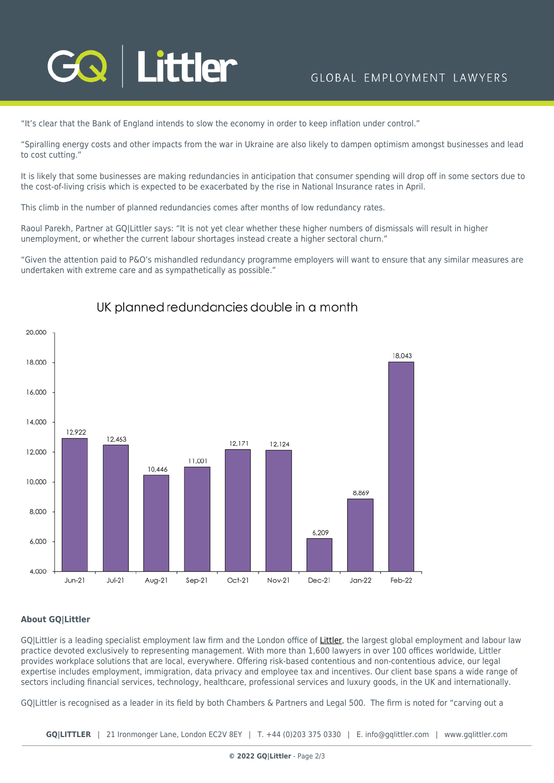

"It's clear that the Bank of England intends to slow the economy in order to keep inflation under control."

"Spiralling energy costs and other impacts from the war in Ukraine are also likely to dampen optimism amongst businesses and lead to cost cutting."

It is likely that some businesses are making redundancies in anticipation that consumer spending will drop off in some sectors due to the cost-of-living crisis which is expected to be exacerbated by the rise in National Insurance rates in April.

This climb in the number of planned redundancies comes after months of low redundancy rates.

Raoul Parekh, Partner at GQ|Littler says: "It is not yet clear whether these higher numbers of dismissals will result in higher unemployment, or whether the current labour shortages instead create a higher sectoral churn."

"Given the attention paid to P&O's mishandled redundancy programme employers will want to ensure that any similar measures are undertaken with extreme care and as sympathetically as possible."



## UK planned redundancies double in a month

### **About GQ|Littler**

GOILittler is a leading specialist employment law firm and the London office of [Littler,](https://www.littler.com/) the largest global employment and labour law practice devoted exclusively to representing management. With more than 1,600 lawyers in over 100 offices worldwide, Littler provides workplace solutions that are local, everywhere. Offering risk-based contentious and non-contentious advice, our legal expertise includes employment, immigration, data privacy and employee tax and incentives. Our client base spans a wide range of sectors including financial services, technology, healthcare, professional services and luxury goods, in the UK and internationally.

GQ|Littler is recognised as a leader in its field by both Chambers & Partners and Legal 500. The firm is noted for "carving out a

**GQ|LITTLER** | 21 Ironmonger Lane, London EC2V 8EY | T. [+44 \(0\)203 375 0330](https://www.bg-pdf.co.uk/_GQ/tel:+442033750330) | E. [info@gqlittler.com](mailto:info@gqlittler.com) | [www.gqlittler.com](https://www.gqlittler.com)